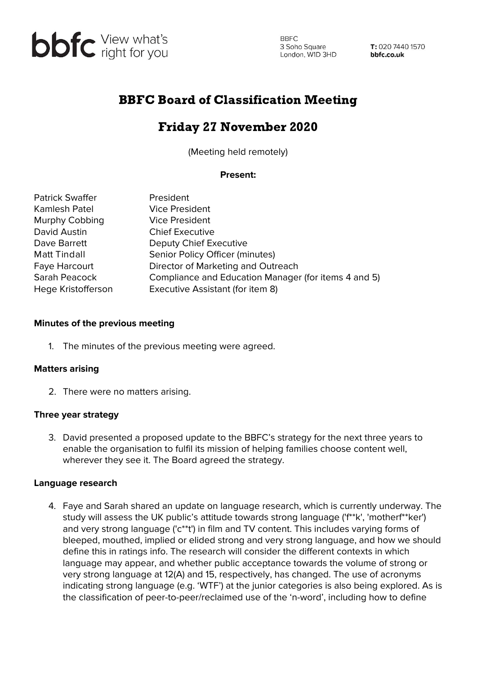

**BBFC** 3 Soho Square<br>London, W1D 3HD 3 Soho Square

T: 020 7440 1570 bbfc.co.uk

# BBFC Board of Classification Meeting

# Friday 27 November 2020

(Meeting held remotely)

## **Present:**

| <b>Patrick Swaffer</b> | President                                            |
|------------------------|------------------------------------------------------|
| Kamlesh Patel          | <b>Vice President</b>                                |
| Murphy Cobbing         | <b>Vice President</b>                                |
| David Austin           | <b>Chief Executive</b>                               |
| Dave Barrett           | Deputy Chief Executive                               |
| <b>Matt Tindall</b>    | Senior Policy Officer (minutes)                      |
| Faye Harcourt          | Director of Marketing and Outreach                   |
| Sarah Peacock          | Compliance and Education Manager (for items 4 and 5) |
| Hege Kristofferson     | Executive Assistant (for item 8)                     |

## **Minutes of the previous meeting**

1. The minutes of the previous meeting were agreed.

## **Matters arising**

2. There were no matters arising.

## **Three year strategy**

3. David presented a proposed update to the BBFC's strategy for the next three years to enable the organisation to fulfil its mission of helping families choose content well, wherever they see it. The Board agreed the strategy.

#### **Language research**

4. Faye and Sarah shared an update on language research, which is currently underway. The study will assess the UK public's attitude towards strong language ('f\*\*k', 'motherf\*\*ker') and very strong language ('c\*\*t') in film and TV content. This includes varying forms of bleeped, mouthed, implied or elided strong and very strong language, and how we should define this in ratings info. The research will consider the different contexts in which language may appear, and whether public acceptance towards the volume of strong or very strong language at 12(A) and 15, respectively, has changed. The use of acronyms indicating strong language (e.g. 'WTF') at the junior categories is also being explored. As is the classification of peer-to-peer/reclaimed use of the 'n-word', including how to define